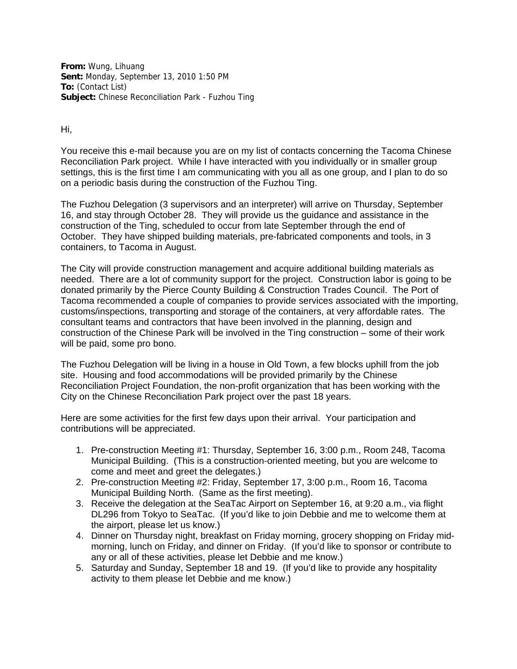**From:** Wung, Lihuang **Sent:** Monday, September 13, 2010 1:50 PM **To:** (Contact List) **Subject:** Chinese Reconciliation Park - Fuzhou Ting

Hi,

You receive this e-mail because you are on my list of contacts concerning the Tacoma Chinese Reconciliation Park project. While I have interacted with you individually or in smaller group settings, this is the first time I am communicating with you all as one group, and I plan to do so on a periodic basis during the construction of the Fuzhou Ting.

The Fuzhou Delegation (3 supervisors and an interpreter) will arrive on Thursday, September 16, and stay through October 28. They will provide us the guidance and assistance in the construction of the Ting, scheduled to occur from late September through the end of October. They have shipped building materials, pre-fabricated components and tools, in 3 containers, to Tacoma in August.

The City will provide construction management and acquire additional building materials as needed. There are a lot of community support for the project. Construction labor is going to be donated primarily by the Pierce County Building & Construction Trades Council. The Port of Tacoma recommended a couple of companies to provide services associated with the importing, customs/inspections, transporting and storage of the containers, at very affordable rates. The consultant teams and contractors that have been involved in the planning, design and construction of the Chinese Park will be involved in the Ting construction – some of their work will be paid, some pro bono.

The Fuzhou Delegation will be living in a house in Old Town, a few blocks uphill from the job site. Housing and food accommodations will be provided primarily by the Chinese Reconciliation Project Foundation, the non-profit organization that has been working with the City on the Chinese Reconciliation Park project over the past 18 years.

Here are some activities for the first few days upon their arrival. Your participation and contributions will be appreciated.

- 1. Pre-construction Meeting #1: Thursday, September 16, 3:00 p.m., Room 248, Tacoma Municipal Building. (This is a construction-oriented meeting, but you are welcome to come and meet and greet the delegates.)
- 2. Pre-construction Meeting #2: Friday, September 17, 3:00 p.m., Room 16, Tacoma Municipal Building North. (Same as the first meeting).
- 3. Receive the delegation at the SeaTac Airport on September 16, at 9:20 a.m., via flight DL296 from Tokyo to SeaTac. (If you'd like to join Debbie and me to welcome them at the airport, please let us know.)
- 4. Dinner on Thursday night, breakfast on Friday morning, grocery shopping on Friday midmorning, lunch on Friday, and dinner on Friday. (If you'd like to sponsor or contribute to any or all of these activities, please let Debbie and me know.)
- 5. Saturday and Sunday, September 18 and 19. (If you'd like to provide any hospitality activity to them please let Debbie and me know.)